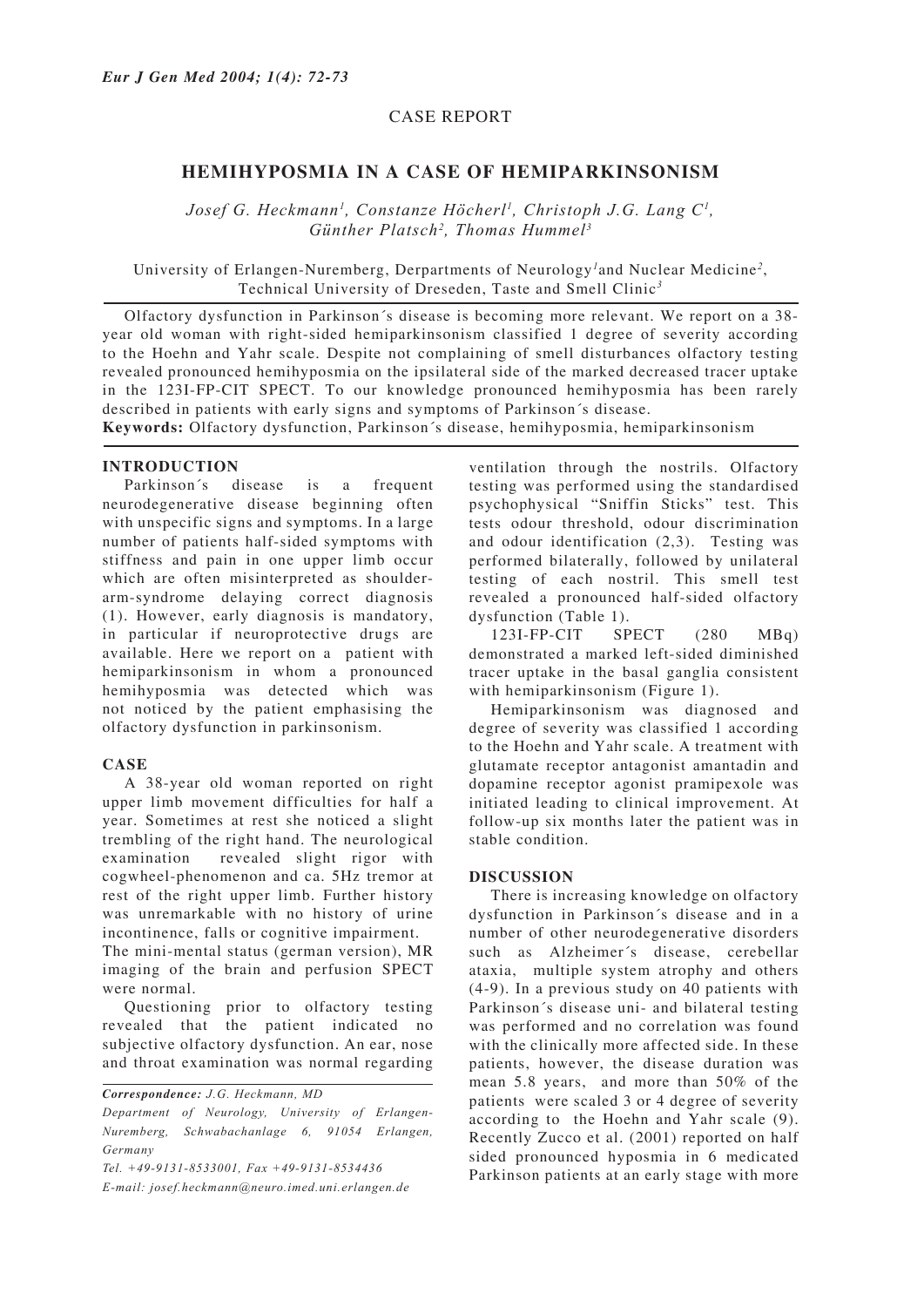## CASE REPORT

# **HEMIHYPOSMIA IN A CASE OF HEMIPARKINSONISM**

*Josef G. Heckmann<sup>1</sup>, Constanze Höcherl<sup>1</sup>, Christoph J.G. Lang C<sup>1</sup>, Günther Platsch2 , Thomas Hummel3*

University of Erlangen-Nuremberg, Derpartments of Neurology*<sup>1</sup>* and Nuclear Medicine*<sup>2</sup>* , Technical University of Dreseden, Taste and Smell Clinic*<sup>3</sup>*

Olfactory dysfunction in Parkinson´s disease is becoming more relevant. We report on a 38 year old woman with right-sided hemiparkinsonism classified 1 degree of severity according to the Hoehn and Yahr scale. Despite not complaining of smell disturbances olfactory testing revealed pronounced hemihyposmia on the ipsilateral side of the marked decreased tracer uptake in the 123I-FP-CIT SPECT. To our knowledge pronounced hemihyposmia has been rarely described in patients with early signs and symptoms of Parkinson´s disease.

**Keywords:** Olfactory dysfunction, Parkinson´s disease, hemihyposmia, hemiparkinsonism

#### **INTRODUCTION**

Parkinson´s disease is a frequent neurodegenerative disease beginning often with unspecific signs and symptoms. In a large number of patients half-sided symptoms with stiffness and pain in one upper limb occur which are often misinterpreted as shoulderarm-syndrome delaying correct diagnosis (1). However, early diagnosis is mandatory, in particular if neuroprotective drugs are available. Here we report on a patient with hemiparkinsonism in whom a pronounced hemihyposmia was detected which was not noticed by the patient emphasising the olfactory dysfunction in parkinsonism.

#### **CASE**

A 38-year old woman reported on right upper limb movement difficulties for half a year. Sometimes at rest she noticed a slight trembling of the right hand. The neurological examination revealed slight rigor with cogwheel-phenomenon and ca. 5Hz tremor at rest of the right upper limb. Further history was unremarkable with no history of urine incontinence, falls or cognitive impairment.

The mini-mental status (german version), MR imaging of the brain and perfusion SPECT were normal.

Questioning prior to olfactory testing revealed that the patient indicated no subjective olfactory dysfunction. An ear, nose and throat examination was normal regarding

*Department of Neurology, University of Erlangen-Nuremberg, Schwabachanlage 6, 91054 Erlangen, Germany*

*Tel. +49-9131-8533001, Fax +49-9131-8534436*

*E-mail: josef.heckmann@neuro.imed.uni.erlangen.de*

ventilation through the nostrils. Olfactory testing was performed using the standardised psychophysical "Sniffin Sticks" test. This tests odour threshold, odour discrimination and odour identification (2,3). Testing was performed bilaterally, followed by unilateral testing of each nostril. This smell test revealed a pronounced half-sided olfactory dysfunction (Table 1).

123I-FP-CIT SPECT (280 MBq) demonstrated a marked left-sided diminished tracer uptake in the basal ganglia consistent with hemiparkinsonism (Figure 1).

Hemiparkinsonism was diagnosed and degree of severity was classified 1 according to the Hoehn and Yahr scale. A treatment with glutamate receptor antagonist amantadin and dopamine receptor agonist pramipexole was initiated leading to clinical improvement. At follow-up six months later the patient was in stable condition.

#### **DISCUSSION**

There is increasing knowledge on olfactory dysfunction in Parkinson´s disease and in a number of other neurodegenerative disorders such as Alzheimer´s disease, cerebellar ataxia, multiple system atrophy and others (4-9). In a previous study on 40 patients with Parkinson´s disease uni- and bilateral testing was performed and no correlation was found with the clinically more affected side. In these patients, however, the disease duration was mean 5.8 years, and more than 50% of the patients were scaled 3 or 4 degree of severity according to the Hoehn and Yahr scale (9). Recently Zucco et al. (2001) reported on half sided pronounced hyposmia in 6 medicated Parkinson patients at an early stage with more

*Correspondence: J.G. Heckmann, MD*